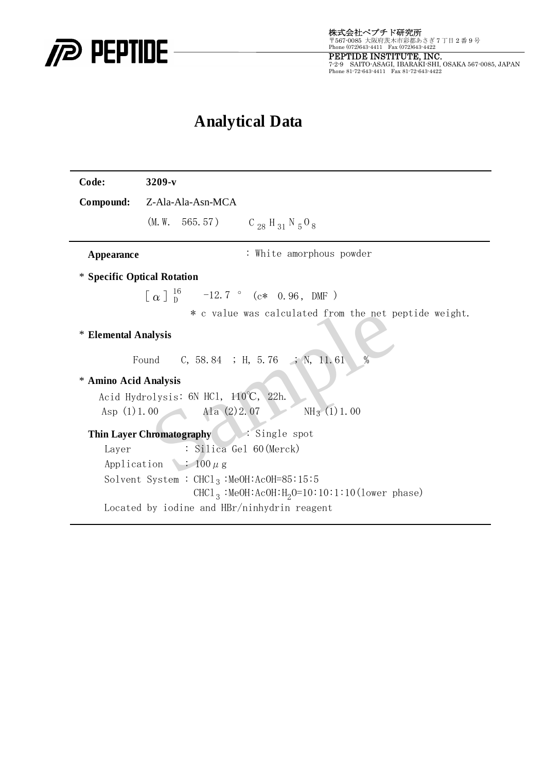

PEPTIDE INSTITUTE, INC.<br>7-2-9 SAITO-ASAGI, IBARAKI-SHI, OSAKA 567-0085, JAPAN<br>Phone 81-72-643-4411 Fax 81-72-643-4422

## **Analytical Data**

| Code:                                                | $3209-v$                                                              |
|------------------------------------------------------|-----------------------------------------------------------------------|
|                                                      | Compound: Z-Ala-Ala-Asn-MCA                                           |
|                                                      | (M.W. 565.57) $C_{28}$ H <sub>31</sub> N <sub>5</sub> O <sub>8</sub>  |
| Appearance                                           | : White amorphous powder                                              |
| * Specific Optical Rotation                          |                                                                       |
|                                                      | $\lceil \alpha \rceil \frac{16}{p}$ -12.7 ° (c* 0.96, DMF)            |
|                                                      | * c value was calculated from the net peptide weight.                 |
| * Elemental Analysis                                 |                                                                       |
| Found C, 58.84 ; H, 5.76 ; N, 11.61<br>$\frac{0}{0}$ |                                                                       |
| * Amino Acid Analysis                                |                                                                       |
| Acid Hydrolysis: 6N HCl, 110°C, 22h.                 |                                                                       |
|                                                      | $NH3$ (1) 1.00<br>Asp $(1) 1.00$ Ala $(2) 2.07$                       |
| Thin Layer Chromatography Single spot                |                                                                       |
| Layer                                                | : Silica Gel 60 (Merck)                                               |
|                                                      | Application $\cdot$ 100 $\mu$ g                                       |
|                                                      | Solvent System : $CHC1_3$ : MeOH: AcOH=85:15:5                        |
|                                                      | CHCl <sub>3</sub> :MeOH:AcOH:H <sub>2</sub> O=10:10:1:10(lower phase) |
| Located by iodine and HBr/ninhydrin reagent          |                                                                       |